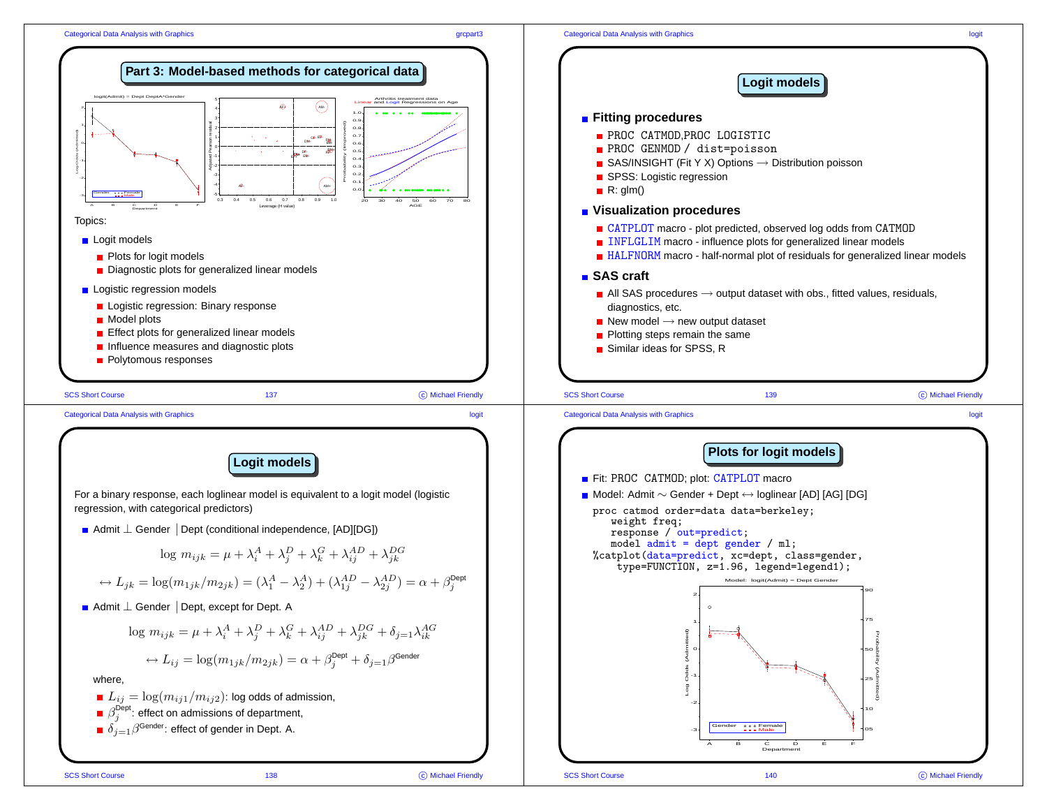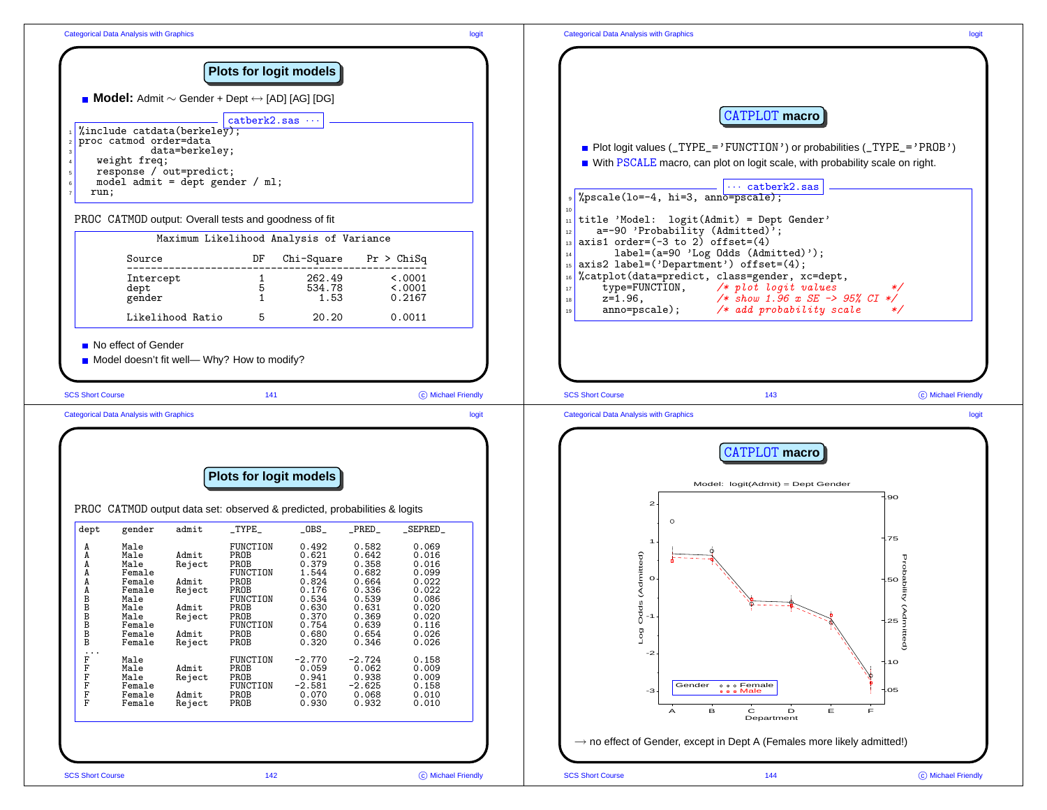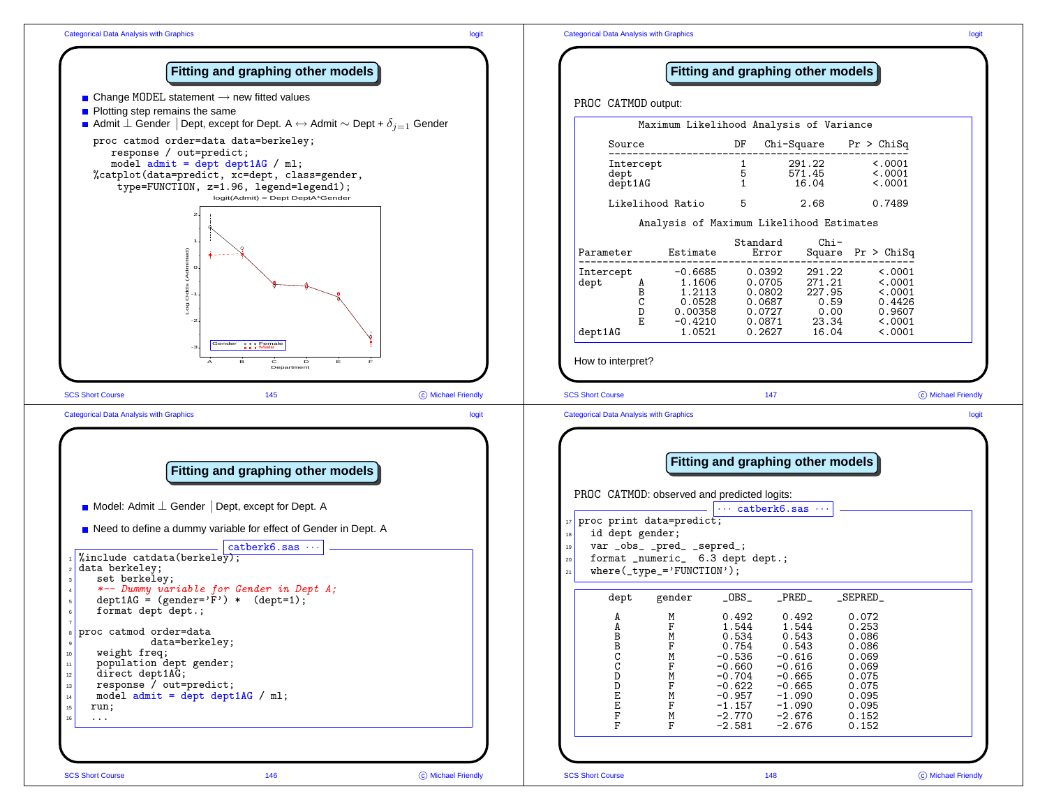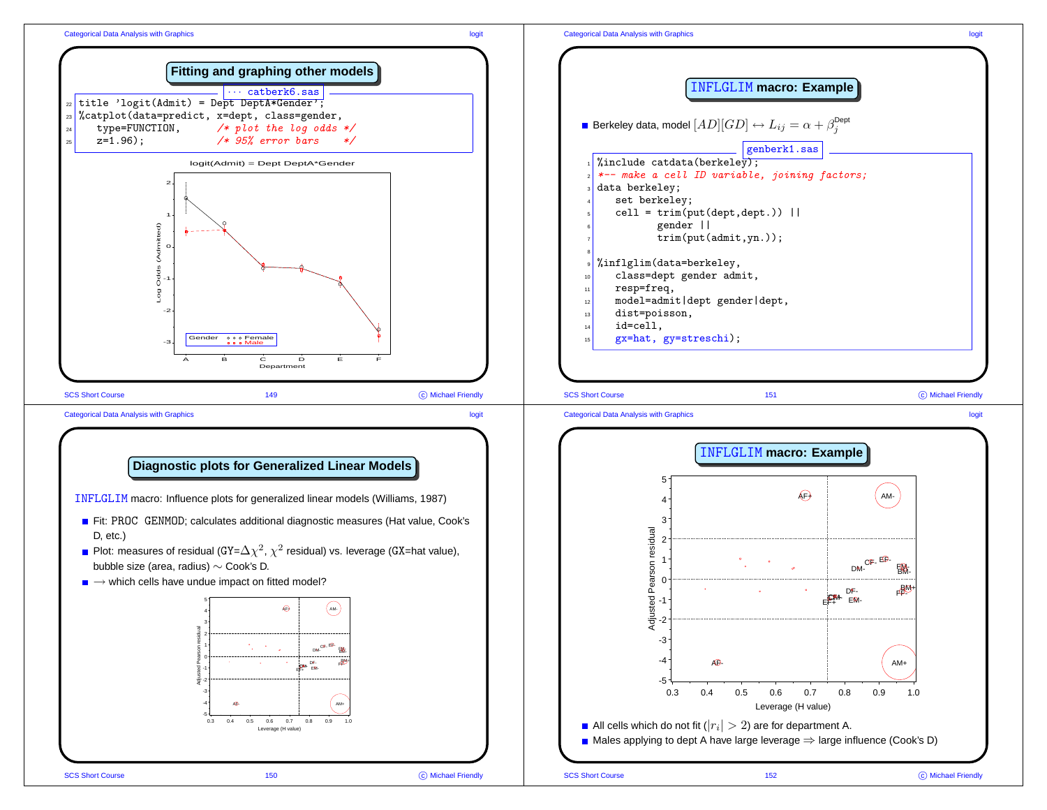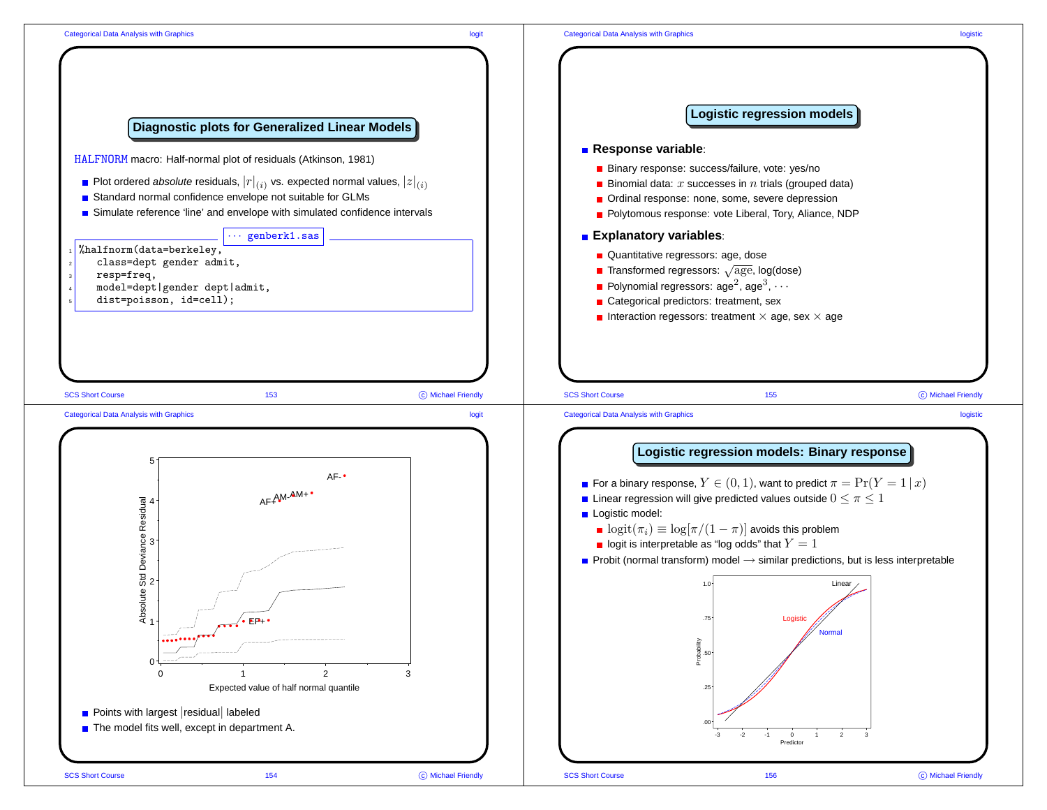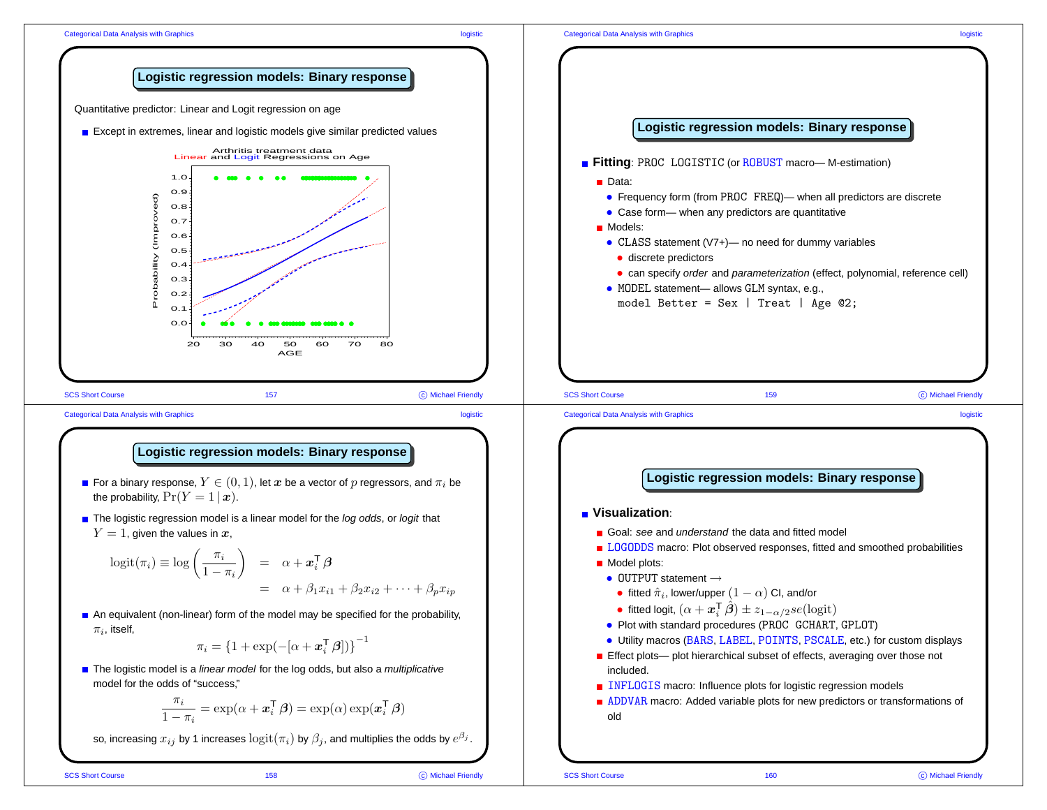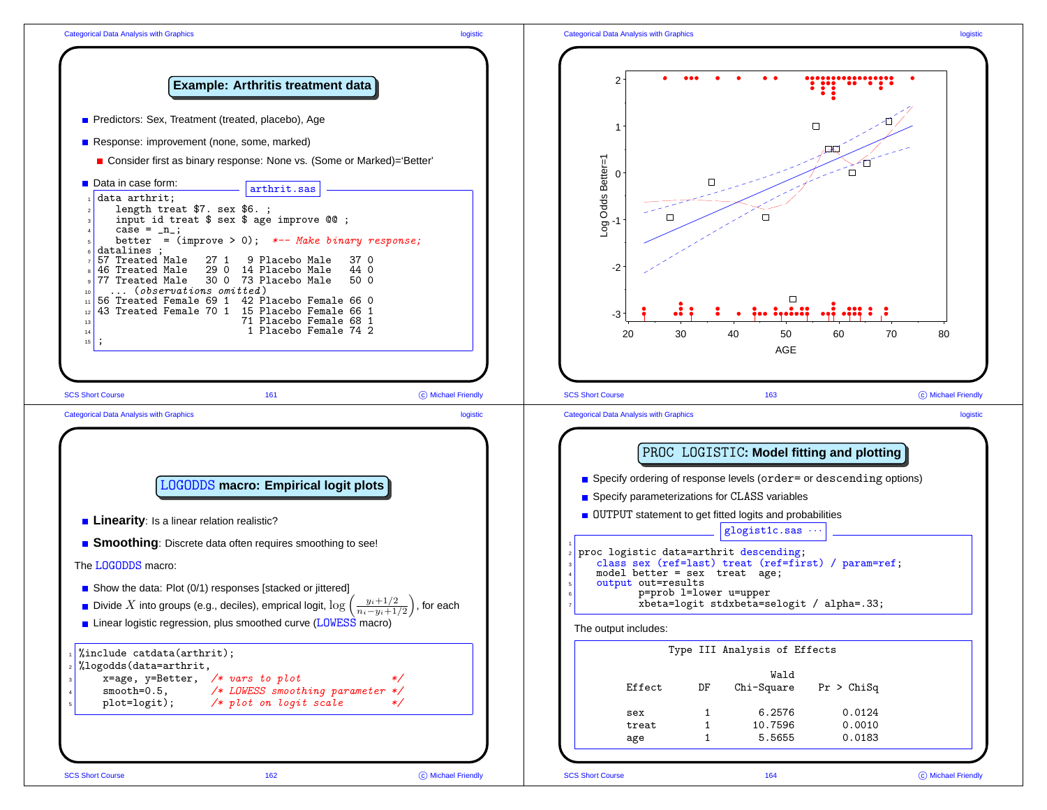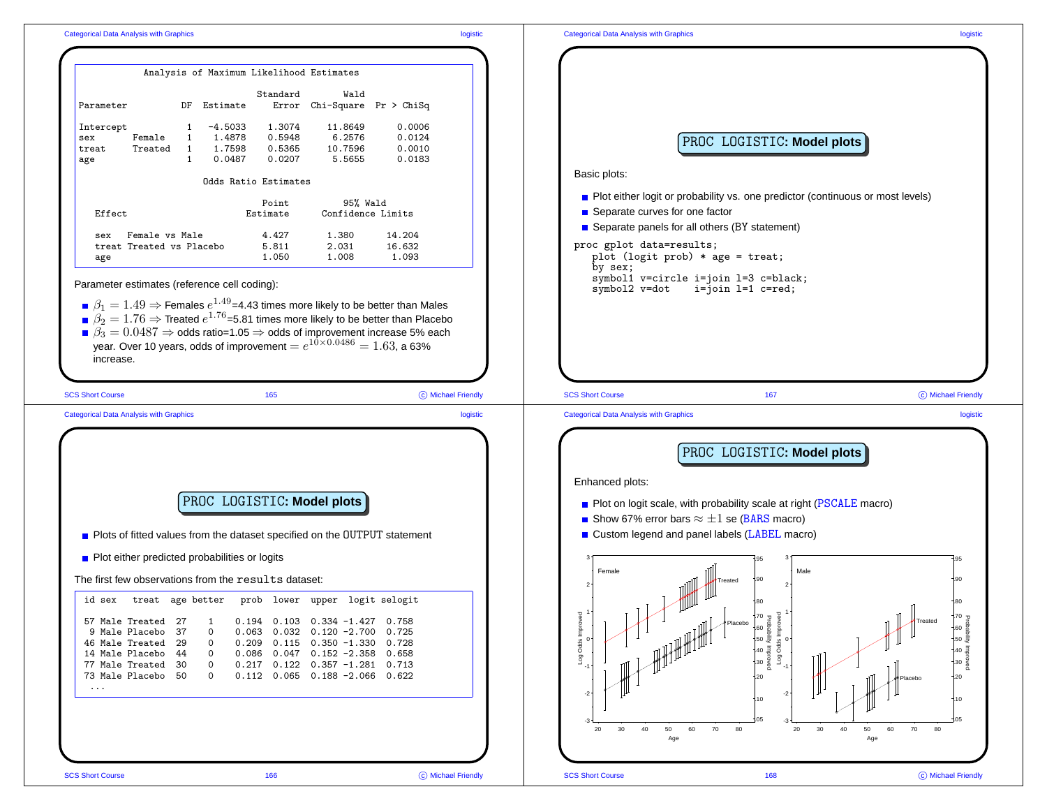| <b>Categorical Data Analysis with Graphics</b> | logistic |
|------------------------------------------------|----------|
|------------------------------------------------|----------|

| Categorical Data Analysis with Graphics |  |
|-----------------------------------------|--|
|                                         |  |
|                                         |  |

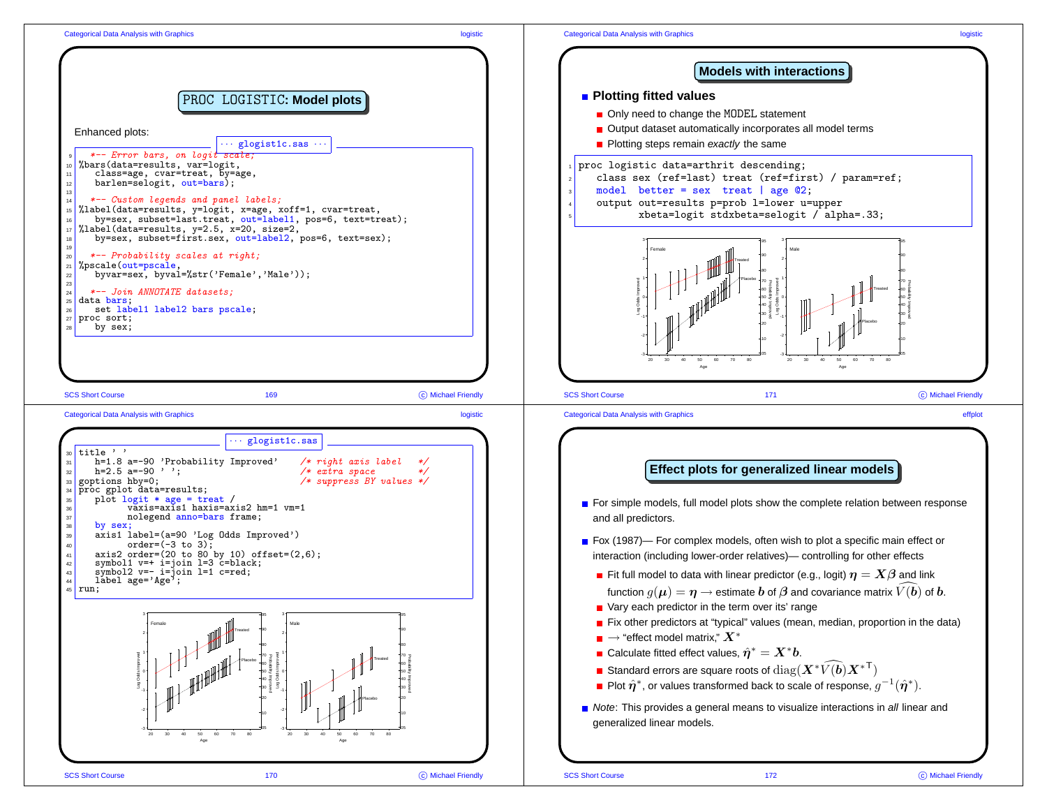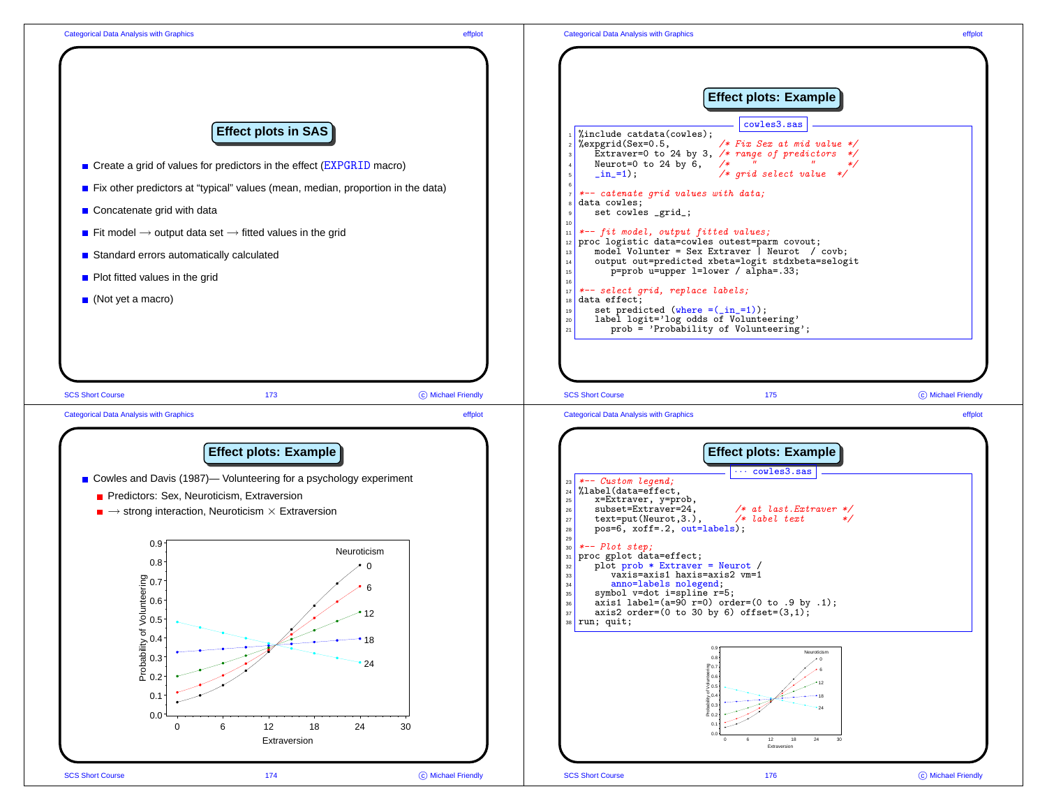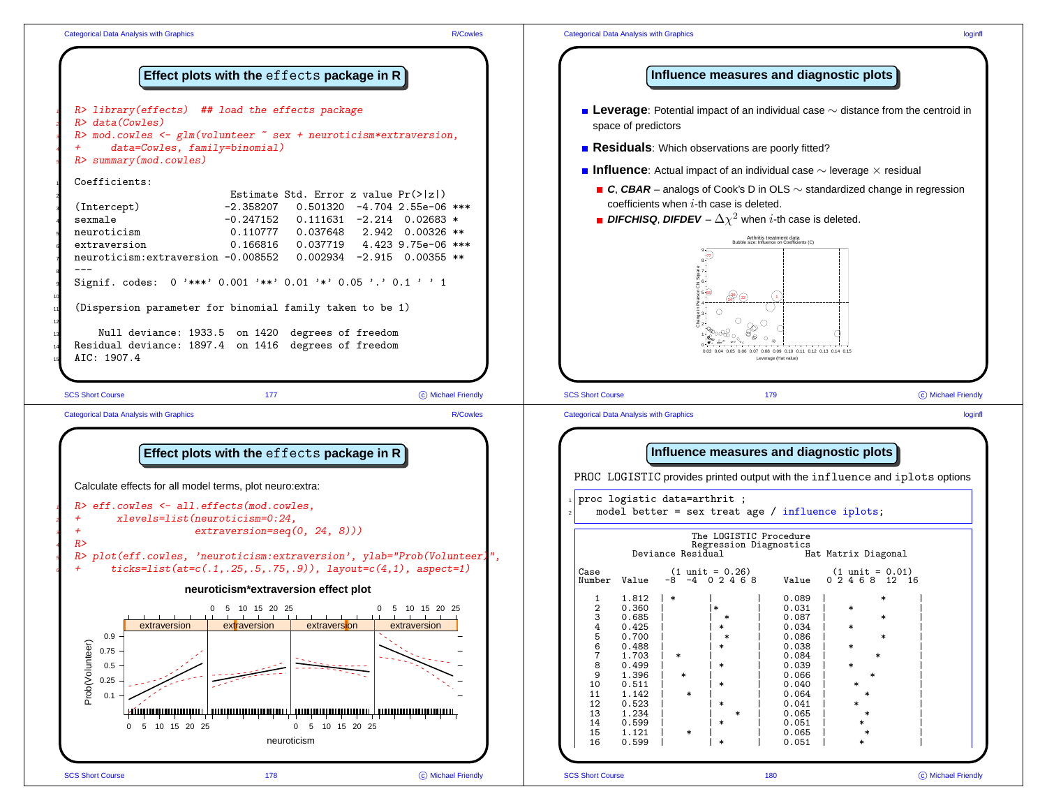

SCS Short Course 178 178

C Michael Friendly

SCS Short Course <sup>180</sup> -

C Michael Friendly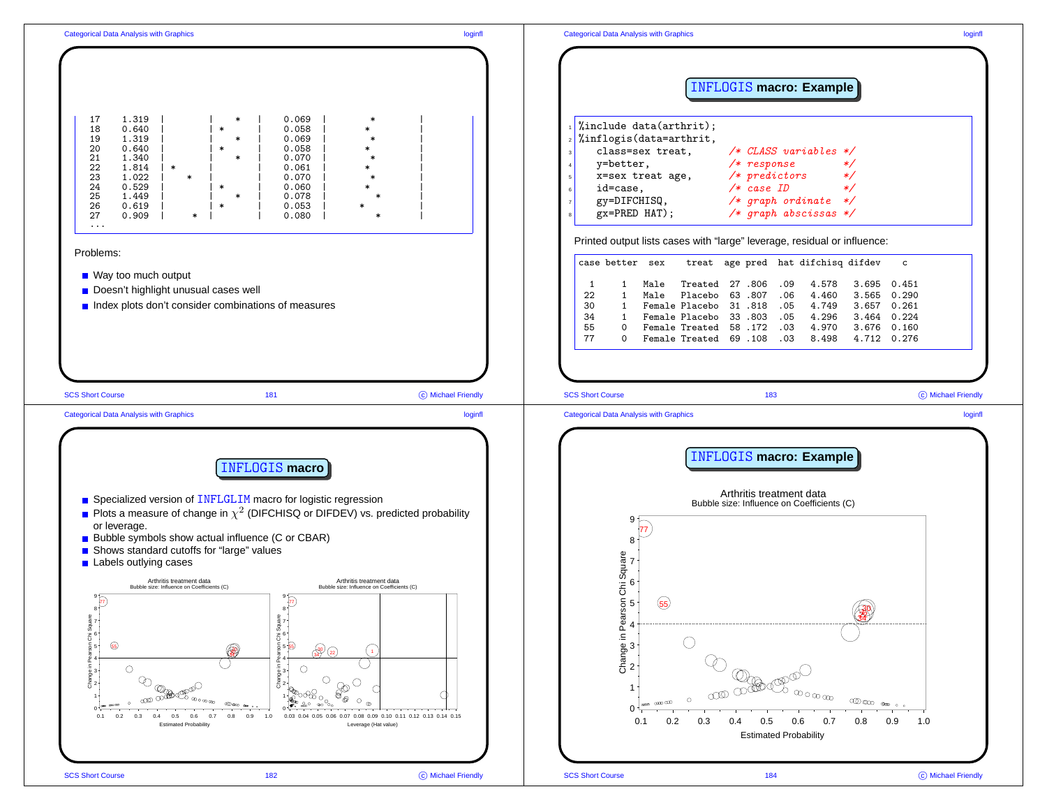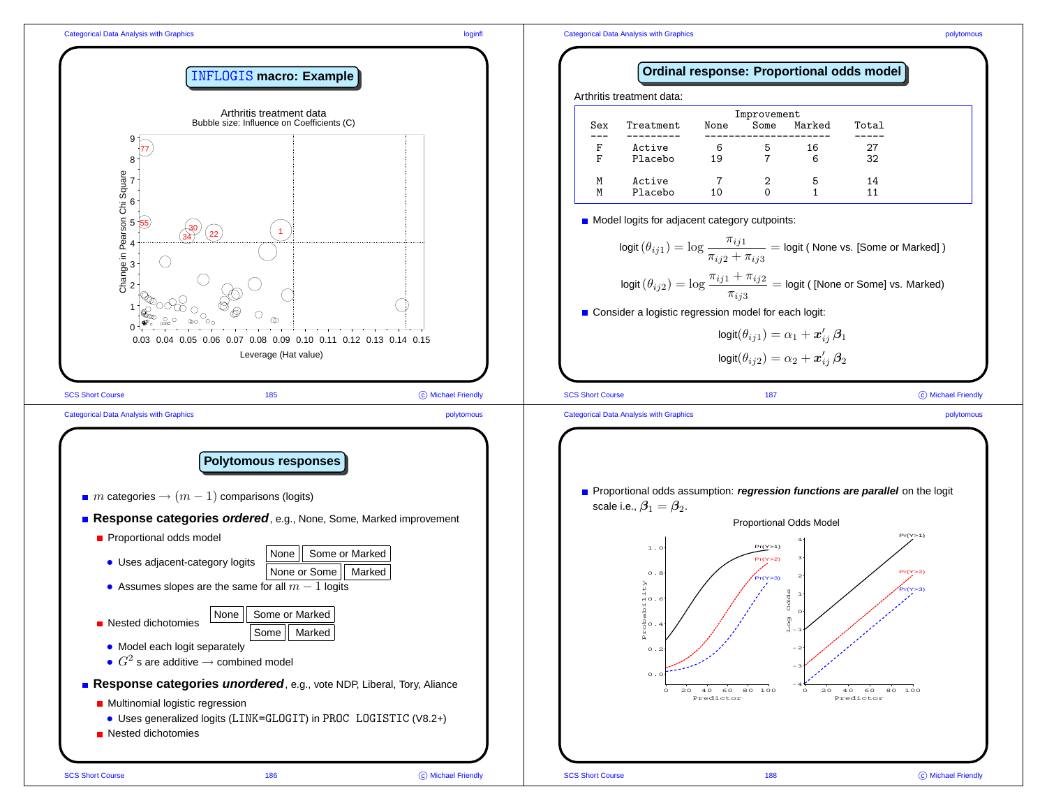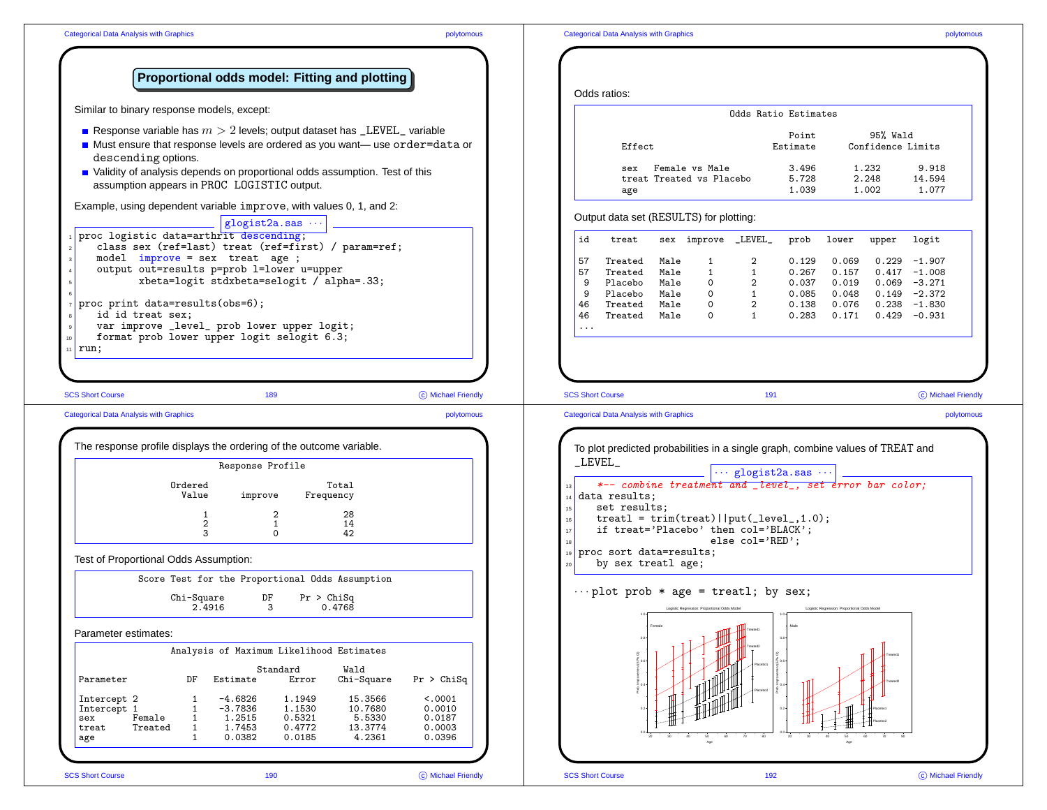

## Categorical Data Analysis with Graphics polytomous care and the control of the control of the control of the control of the control of the control of the control of the control of the control of the control of the control

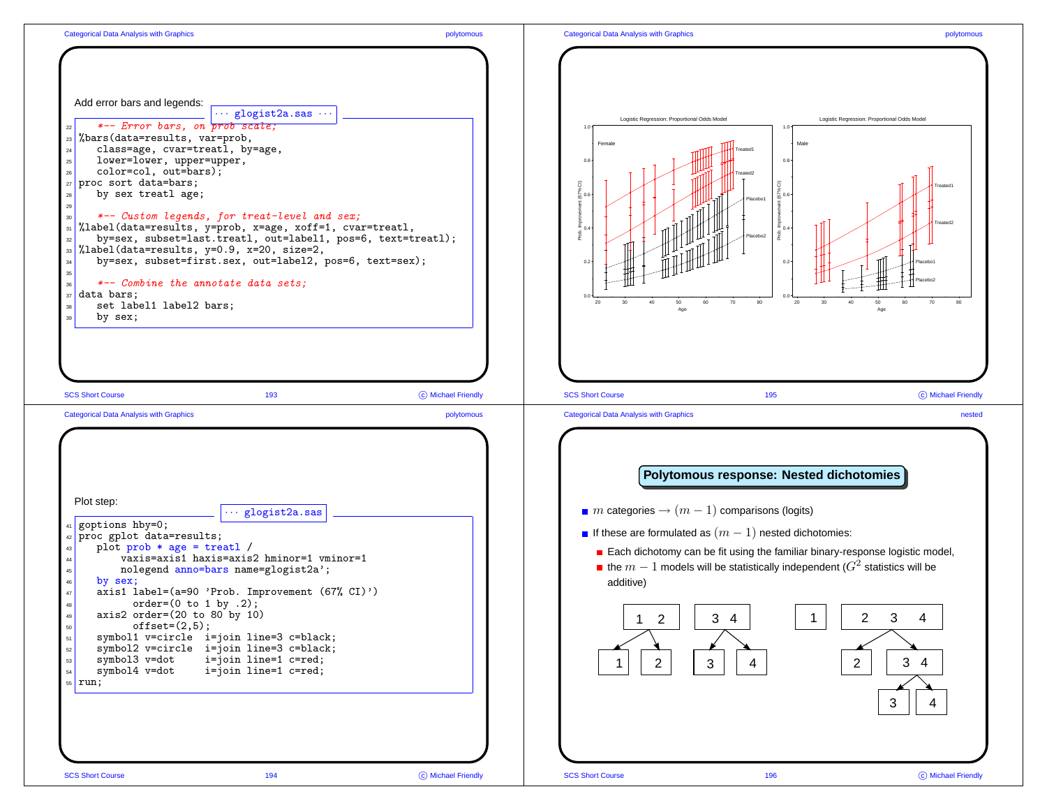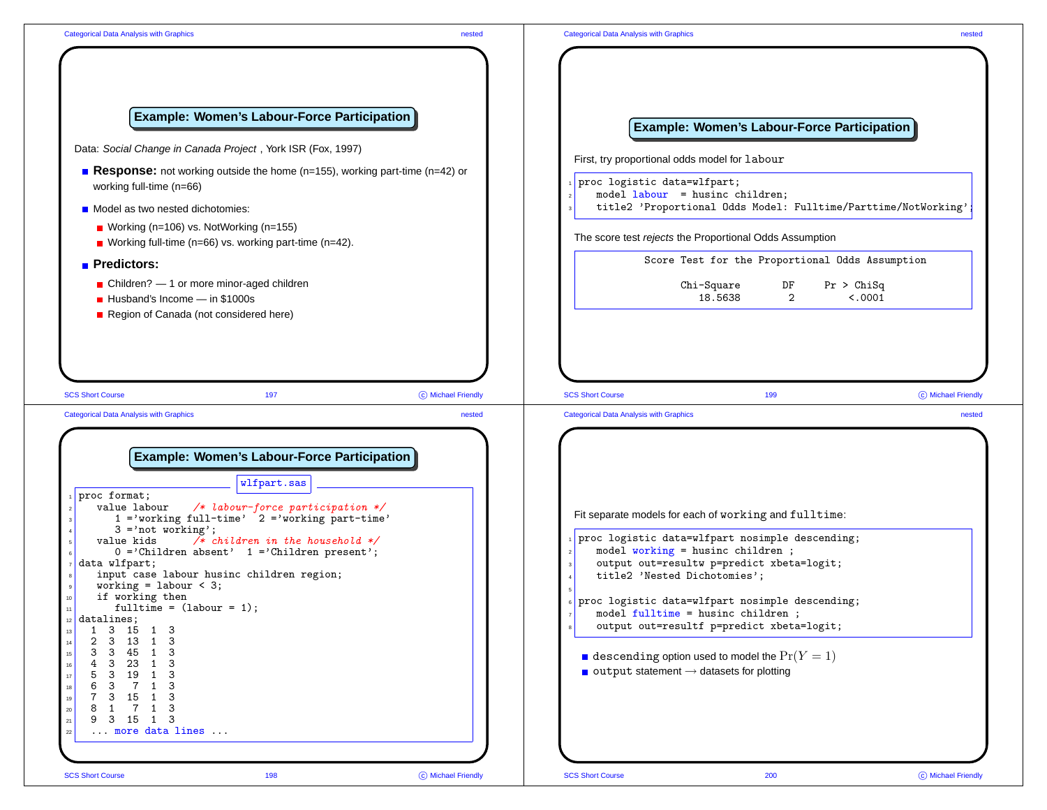| <b>Example: Women's Labour-Force Participation</b>                                                                                                                                        |                              |                                                                                                                 | <b>Example: Women's Labour-Force Participation</b>                                                                                |                              |
|-------------------------------------------------------------------------------------------------------------------------------------------------------------------------------------------|------------------------------|-----------------------------------------------------------------------------------------------------------------|-----------------------------------------------------------------------------------------------------------------------------------|------------------------------|
| Data: Social Change in Canada Project, York ISR (Fox, 1997)                                                                                                                               |                              |                                                                                                                 |                                                                                                                                   |                              |
| <b>Response:</b> not working outside the home ( $n=155$ ), working part-time ( $n=42$ ) or<br>working full-time (n=66)                                                                    |                              | First, try proportional odds model for labour<br>proc logistic data=wlfpart;<br>model labour = husinc children; |                                                                                                                                   |                              |
| Model as two nested dichotomies:                                                                                                                                                          |                              |                                                                                                                 | title2 'Proportional Odds Model: Fulltime/Parttime/NotWorking';                                                                   |                              |
| ■ Working (n=106) vs. NotWorking (n=155)<br>Working full-time ( $n=66$ ) vs. working part-time ( $n=42$ ).                                                                                |                              |                                                                                                                 | The score test rejects the Proportional Odds Assumption                                                                           |                              |
| <b>Predictors:</b>                                                                                                                                                                        |                              |                                                                                                                 | Score Test for the Proportional Odds Assumption                                                                                   |                              |
| ■ Children? – 1 or more minor-aged children<br>$\blacksquare$ Husband's Income - in \$1000s<br>Region of Canada (not considered here)                                                     |                              |                                                                                                                 | Chi-Square<br>DF<br>Pr > Chisq<br>$\overline{2}$<br>18.5638                                                                       | < .0001                      |
| <b>SCS Short Course</b><br>197<br><b>Categorical Data Analysis with Graphics</b>                                                                                                          | C Michael Friendly<br>nested | <b>SCS Short Course</b><br><b>Categorical Data Analysis with Graphics</b>                                       | 199                                                                                                                               |                              |
| Example: Women's Labour-Force Participation<br>wlfpart.sas                                                                                                                                |                              |                                                                                                                 |                                                                                                                                   | C Michael Friendly<br>nested |
| proc format;<br>$/*$ labour-force participation $*/$<br>value labour<br>$1 = 'working full-time'$ 2 = 'working part-time'                                                                 |                              |                                                                                                                 | Fit separate models for each of working and fulltime:                                                                             |                              |
| $3$ ='not working';<br>$/*$ children in the household */<br>value kids<br>$0 = 'Children$ absent' $1 = 'Children$ present';<br>data wlfpart;<br>input case labour husinc children region; |                              | model working = husinc children;<br>title2 'Nested Dichotomies';                                                | proc logistic data=wlfpart nosimple descending;<br>output out=resultw p=predict xbeta=logit;                                      |                              |
| working = $labor < 3;$<br>if working then<br>fulltime = $(labour = 1)$ ;<br>datalines;<br>1<br>$3 \quad 15$<br>-3<br>1<br>2<br>3<br>13<br>1<br>3                                          |                              |                                                                                                                 | proc logistic data=wlfpart nosimple descending;<br>model fulltime = husinc children;<br>output out=resultf p=predict xbeta=logit; |                              |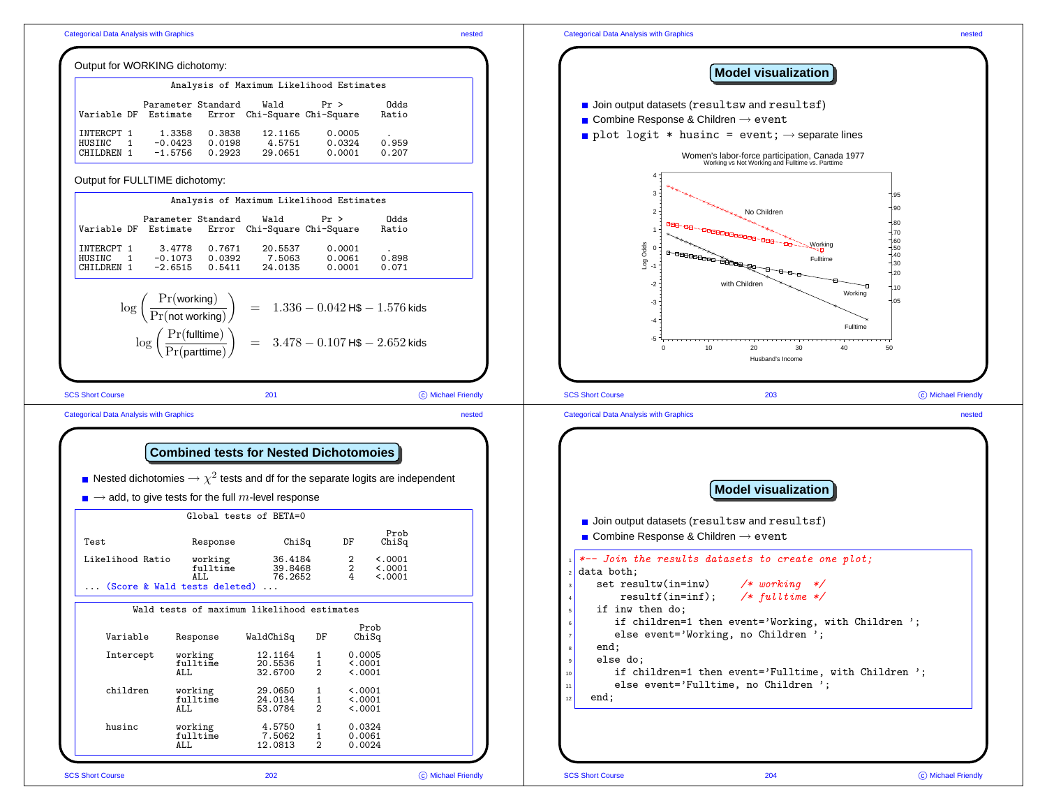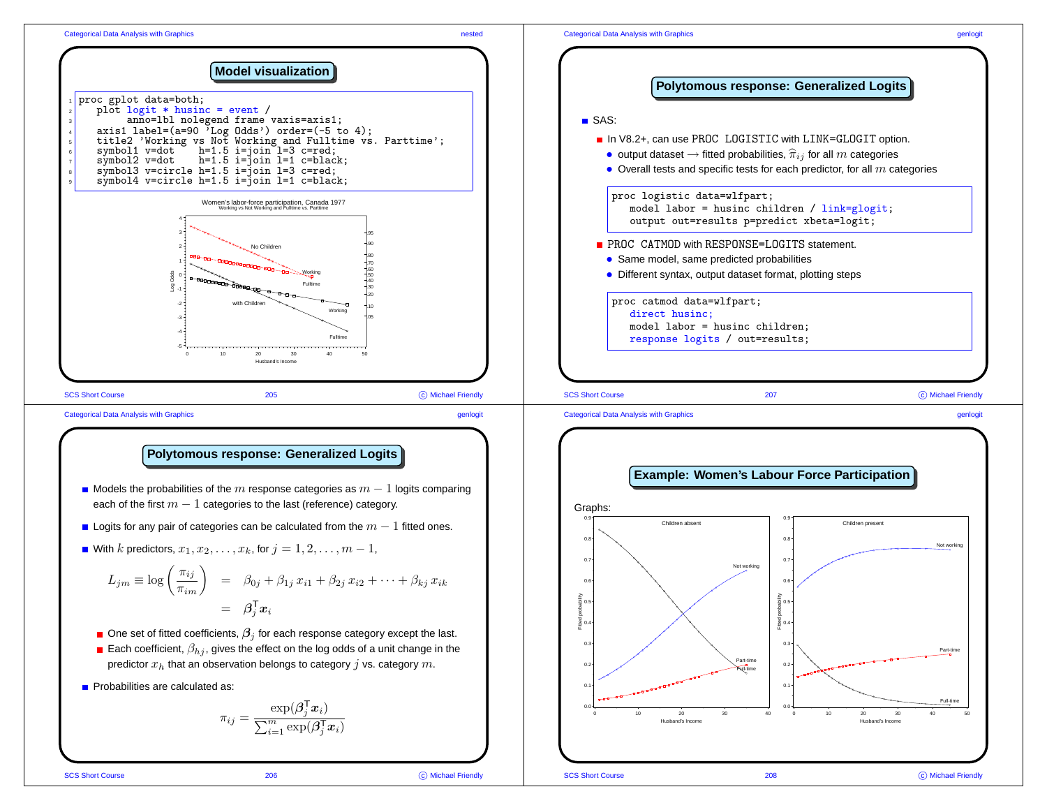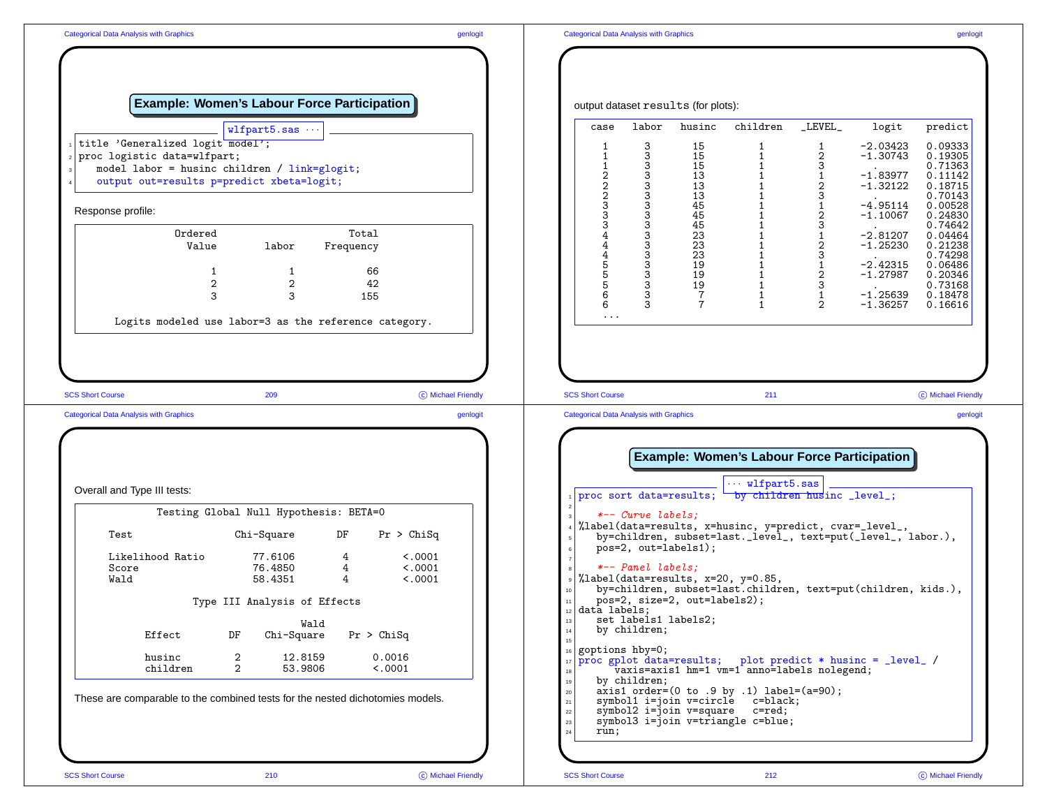|                                                                                                                                                              | genlogit                                    |                                                    | <b>Categorical Data Analysis with Graphics</b>                                            |                                             |                                                                                                                                                                                                                                |                                                                                                        |                                                                    | genlogit                                                                             |
|--------------------------------------------------------------------------------------------------------------------------------------------------------------|---------------------------------------------|----------------------------------------------------|-------------------------------------------------------------------------------------------|---------------------------------------------|--------------------------------------------------------------------------------------------------------------------------------------------------------------------------------------------------------------------------------|--------------------------------------------------------------------------------------------------------|--------------------------------------------------------------------|--------------------------------------------------------------------------------------|
| Example: Women's Labour Force Participation                                                                                                                  |                                             | output dataset results (for plots):                |                                                                                           |                                             |                                                                                                                                                                                                                                |                                                                                                        |                                                                    |                                                                                      |
| $w1$ fpart5.sas $\cdots$                                                                                                                                     |                                             | case                                               | labor                                                                                     | husinc                                      | children                                                                                                                                                                                                                       | _LEVEL_                                                                                                | logit                                                              | predict                                                                              |
| title 'Generalized logit model';<br>proc logistic data=wlfpart;<br>model labor = husinc children / link=glogit;<br>output out=results p=predict xbeta=logit; |                                             | -1<br>1<br>$\mathbf{1}$                            | 3<br>3<br>3<br>$\begin{array}{c}\n2 \\ 2 \\ 3 \\ 3\n\end{array}$<br>3<br>3<br>3<br>3<br>3 | 15<br>15<br>15<br>13<br>13<br>13            | 1<br>1<br>1<br>1<br>1<br>1                                                                                                                                                                                                     | 1<br>2<br>3<br>1<br>$\boldsymbol{2}$<br>3                                                              | $-2.03423$<br>$-1.30743$<br>$-1.83977$<br>$-1.32122$               | 0.09333<br>0.19305<br>0.71363<br>0.11142<br>0.18715<br>0.70143                       |
| Response profile:                                                                                                                                            |                                             |                                                    |                                                                                           | 45<br>45                                    | 1<br>$\mathbf{1}$                                                                                                                                                                                                              | $\mathbf{1}$<br>$\boldsymbol{2}$                                                                       | $-4.95114$<br>$-1.10067$                                           | 0.00528<br>0.24830                                                                   |
| Total<br>Ordered<br>Value<br>labor<br>Frequency<br>$\mathbf{1}$<br>$\mathbf{1}$<br>66<br>$\overline{2}$<br>2<br>42<br>3<br>3<br>155                          |                                             | 344455<br>5<br>6                                   | 3<br>3<br>3<br>3<br>3<br>3<br>3<br>3                                                      | 45<br>23<br>23<br>23<br>19<br>19<br>19<br>7 | $\mathbf{1}$<br>$\mathbf{1}$<br>$\mathbf{1}$<br>$\mathbf{1}$<br>$\mathbf{1}$<br>$\mathbf{1}$<br>1<br>1                                                                                                                         | $\overline{3}$<br>$\mathbf{1}$<br>$\frac{2}{3}$<br>$\mathbf{1}$<br>$\overline{2}$<br>3<br>$\mathbf{1}$ | $-2.81207$<br>$-1.25230$<br>$-2.42315$<br>$-1.27987$<br>$-1.25639$ | 0.74642<br>0.04464<br>0.21238<br>0.74298<br>0.06486<br>0.20346<br>0.73168<br>0.18478 |
| Logits modeled use labor=3 as the reference category.                                                                                                        |                                             | 6<br>$\cdots$                                      | 3                                                                                         |                                             | $\mathbf{1}$                                                                                                                                                                                                                   | $\overline{2}$                                                                                         | $-1.36257$                                                         | 0.16616                                                                              |
|                                                                                                                                                              | genlogit                                    | <b>Categorical Data Analysis with Graphics</b>     |                                                                                           |                                             |                                                                                                                                                                                                                                |                                                                                                        |                                                                    |                                                                                      |
|                                                                                                                                                              |                                             |                                                    |                                                                                           |                                             | Example: Women's Labour Force Participation<br>$\cdots$ wlfpart5.sas                                                                                                                                                           |                                                                                                        |                                                                    |                                                                                      |
| Testing Global Null Hypothesis: BETA=0                                                                                                                       |                                             |                                                    | *-- Curve labels;                                                                         |                                             | proc sort data=results; by children husinc _level_;                                                                                                                                                                            |                                                                                                        |                                                                    |                                                                                      |
| DF<br>Test<br>Chi-Square<br>Likelihood Ratio<br>77.6106<br>4<br>76.4850<br>Score<br>4<br>58.4351<br>Wald<br>4                                                | Pr > ChiSq<br>< .0001<br>< .0001<br>< .0001 |                                                    | pos=2, out=labels1);<br>*-- Panel labels;                                                 |                                             | %label(data=results, x=husinc, y=predict, cvar=_level_,<br>by=children, subset=last._level_, text=put(_level_, labor.),<br>%label(data=results, x=20, y=0.85,<br>by=children, subset=last.children, text=put(children, kids.), |                                                                                                        |                                                                    |                                                                                      |
| Type III Analysis of Effects                                                                                                                                 |                                             | $12$ data labels;                                  |                                                                                           | pos=2, size=2, out=labels2);                |                                                                                                                                                                                                                                |                                                                                                        |                                                                    |                                                                                      |
| Wald<br>Effect<br>DF<br>Chi-Square<br>Pr > Chisq                                                                                                             |                                             | 13<br>$14\,$<br>15                                 | set labels1 labels2;<br>by children;                                                      |                                             |                                                                                                                                                                                                                                |                                                                                                        |                                                                    | genlogit                                                                             |
| Overall and Type III tests:<br>2<br>12.8159<br>husinc<br>53.9806<br>children<br>$\overline{2}$                                                               | 0.0016<br>< .0001                           | 16 goptions hby=0;<br>$17\,$<br>18<br>19<br>$20\,$ | by children;                                                                              |                                             | proc gplot data=results; plot predict * husinc = $\text{level}$ /<br>vaxis=axis1 hm=1 vm=1 anno=labels nolegend;<br>axis1 order= $(0 to .9 by .1)$ label= $(a=90)$ ;                                                           |                                                                                                        |                                                                    |                                                                                      |
| These are comparable to the combined tests for the nested dichotomies models.                                                                                |                                             | $\mathbf{21}$<br>$22\,$<br>23<br>run;<br>$^{24}$   |                                                                                           |                                             | symbol1 i=join v=circle c=black;<br>symbol2 $i = j$ oin $v = square$ $c = red$ ;<br>symbol3 i=join v=triangle c=blue;                                                                                                          |                                                                                                        |                                                                    |                                                                                      |